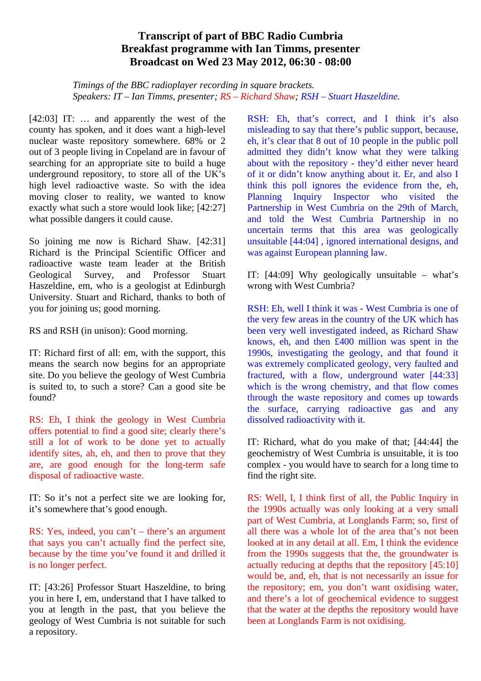## **Transcript of part of BBC Radio Cumbria Breakfast programme with Ian Timms, presenter Broadcast on Wed 23 May 2012, 06:30 - 08:00**

## *Timings of the BBC radioplayer recording in square brackets. Speakers: IT – Ian Timms, presenter; RS – Richard Shaw; RSH – Stuart Haszeldine.*

[42:03] IT: … and apparently the west of the county has spoken, and it does want a high-level nuclear waste repository somewhere. 68% or 2 out of 3 people living in Copeland are in favour of searching for an appropriate site to build a huge underground repository, to store all of the UK's high level radioactive waste. So with the idea moving closer to reality, we wanted to know exactly what such a store would look like; [42:27] what possible dangers it could cause.

So joining me now is Richard Shaw. [42:31] Richard is the Principal Scientific Officer and radioactive waste team leader at the British Geological Survey, and Professor Stuart Haszeldine, em, who is a geologist at Edinburgh University. Stuart and Richard, thanks to both of you for joining us; good morning.

RS and RSH (in unison): Good morning.

IT: Richard first of all: em, with the support, this means the search now begins for an appropriate site. Do you believe the geology of West Cumbria is suited to, to such a store? Can a good site be found?

RS: Eh, I think the geology in West Cumbria offers potential to find a good site; clearly there's still a lot of work to be done yet to actually identify sites, ah, eh, and then to prove that they are, are good enough for the long-term safe disposal of radioactive waste.

IT: So it's not a perfect site we are looking for, it's somewhere that's good enough.

RS: Yes, indeed, you can't – there's an argument that says you can't actually find the perfect site, because by the time you've found it and drilled it is no longer perfect.

IT: [43:26] Professor Stuart Haszeldine, to bring you in here I, em, understand that I have talked to you at length in the past, that you believe the geology of West Cumbria is not suitable for such a repository.

RSH: Eh, that's correct, and I think it's also misleading to say that there's public support, because, eh, it's clear that 8 out of 10 people in the public poll admitted they didn't know what they were talking about with the repository - they'd either never heard of it or didn't know anything about it. Er, and also I think this poll ignores the evidence from the, eh, Planning Inquiry Inspector who visited the Partnership in West Cumbria on the 29th of March, and told the West Cumbria Partnership in no uncertain terms that this area was geologically unsuitable [44:04] , ignored international designs, and was against European planning law.

IT: [44:09] Why geologically unsuitable – what's wrong with West Cumbria?

RSH: Eh, well I think it was - West Cumbria is one of the very few areas in the country of the UK which has been very well investigated indeed, as Richard Shaw knows, eh, and then £400 million was spent in the 1990s, investigating the geology, and that found it was extremely complicated geology, very faulted and fractured, with a flow, underground water [44:33] which is the wrong chemistry, and that flow comes through the waste repository and comes up towards the surface, carrying radioactive gas and any dissolved radioactivity with it.

IT: Richard, what do you make of that; [44:44] the geochemistry of West Cumbria is unsuitable, it is too complex - you would have to search for a long time to find the right site.

RS: Well, I, I think first of all, the Public Inquiry in the 1990s actually was only looking at a very small part of West Cumbria, at Longlands Farm; so, first of all there was a whole lot of the area that's not been looked at in any detail at all. Em, I think the evidence from the 1990s suggests that the, the groundwater is actually reducing at depths that the repository [45:10] would be, and, eh, that is not necessarily an issue for the repository; em, you don't want oxidising water, and there's a lot of geochemical evidence to suggest that the water at the depths the repository would have been at Longlands Farm is not oxidising.